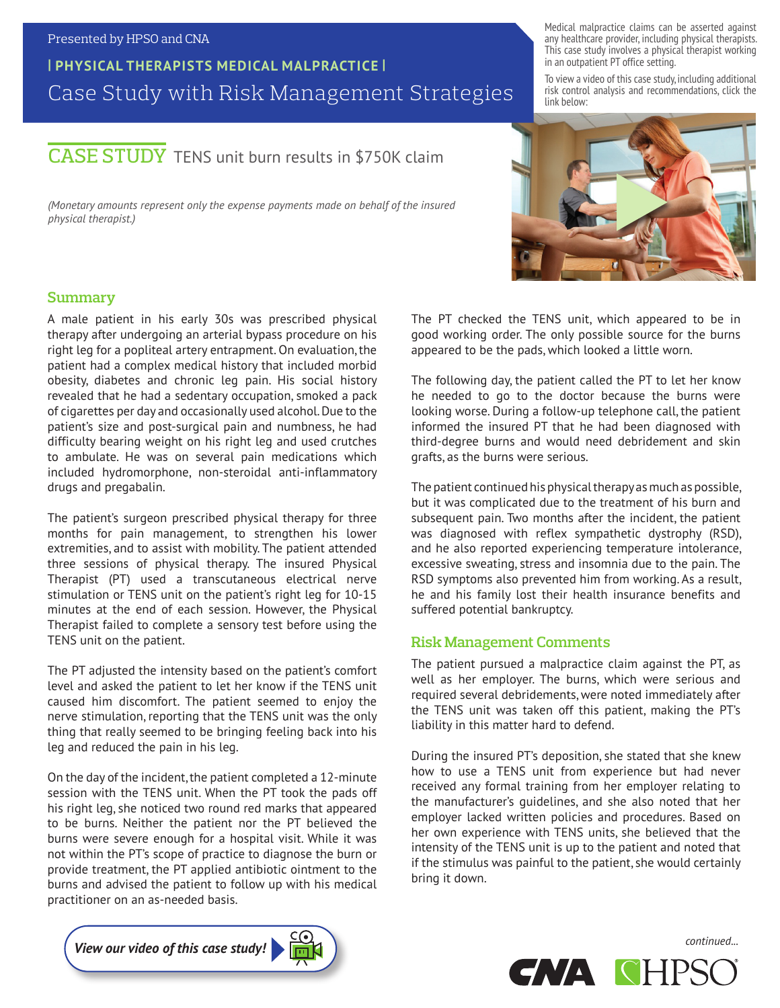#### Presented by HPSO and CNA

## **| PHYSICAL THERAPISTS MEDICAL MALPRACTICE |** Case Study with Risk Management Strategies

# CASE STUDY TENS unit burn results in \$750K claim

*(Monetary amounts represent only the expense payments made on behalf of the insured physical therapist.)*

**Summary** 

A male patient in his early 30s was prescribed physical therapy after undergoing an arterial bypass procedure on his right leg for a popliteal artery entrapment. On evaluation, the patient had a complex medical history that included morbid obesity, diabetes and chronic leg pain. His social history revealed that he had a sedentary occupation, smoked a pack of cigarettes per day and occasionally used alcohol. Due to the patient's size and post-surgical pain and numbness, he had difficulty bearing weight on his right leg and used crutches to ambulate. He was on several pain medications which included hydromorphone, non-steroidal anti-inflammatory drugs and pregabalin.

The patient's surgeon prescribed physical therapy for three months for pain management, to strengthen his lower extremities, and to assist with mobility. The patient attended three sessions of physical therapy. The insured Physical Therapist (PT) used a transcutaneous electrical nerve stimulation or TENS unit on the patient's right leg for 10-15 minutes at the end of each session. However, the Physical Therapist failed to complete a sensory test before using the TENS unit on the patient.

The PT adjusted the intensity based on the patient's comfort level and asked the patient to let her know if the TENS unit caused him discomfort. The patient seemed to enjoy the nerve stimulation, reporting that the TENS unit was the only thing that really seemed to be bringing feeling back into his leg and reduced the pain in his leg.

On the day of the incident, the patient completed a 12-minute session with the TENS unit. When the PT took the pads off his right leg, she noticed two round red marks that appeared to be burns. Neither the patient nor the PT believed the burns were severe enough for a hospital visit. While it was not within the PT's scope of practice to diagnose the burn or provide treatment, the PT applied antibiotic ointment to the burns and advised the patient to follow up with his medical practitioner on an as-needed basis.

Medical malpractice claims can be asserted against any healthcare provider, including physical therapists. This case study involves a physical therapist working in an outpatient PT office setting.

To view a video of this case study, including additional risk control analysis and recommendations, click the link below:



The PT checked the TENS unit, which appeared to be in good working order. The only possible source for the burns appeared to be the pads, which looked a little worn.

The following day, the patient called the PT to let her know he needed to go to the doctor because the burns were looking worse. During a follow-up telephone call, the patient informed the insured PT that he had been diagnosed with third-degree burns and would need debridement and skin grafts, as the burns were serious.

The patient continued his physical therapy as much as possible, but it was complicated due to the treatment of his burn and subsequent pain. Two months after the incident, the patient was diagnosed with reflex sympathetic dystrophy (RSD), and he also reported experiencing temperature intolerance, excessive sweating, stress and insomnia due to the pain. The RSD symptoms also prevented him from working. As a result, he and his family lost their health insurance benefits and suffered potential bankruptcy.

#### **Risk Management Comments**

The patient pursued a malpractice claim against the PT, as well as her employer. The burns, which were serious and required several debridements, were noted immediately after the TENS unit was taken off this patient, making the PT's liability in this matter hard to defend.

During the insured PT's deposition, she stated that she knew how to use a TENS unit from experience but had never received any formal training from her employer relating to the manufacturer's guidelines, and she also noted that her employer lacked written policies and procedures. Based on her own experience with TENS units, she believed that the intensity of the TENS unit is up to the patient and noted that if the stimulus was painful to the patient, she would certainly bring it down.



*continued...*